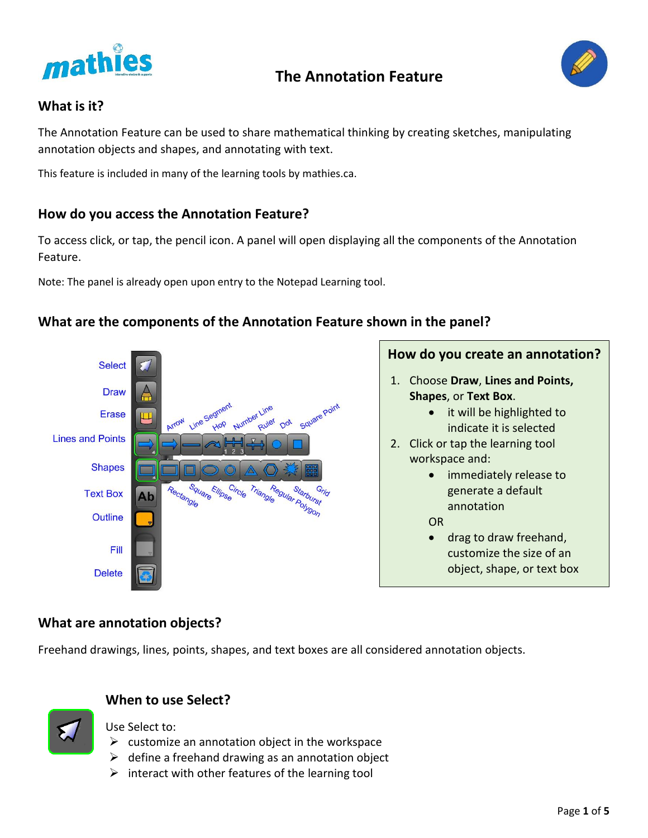

# **The Annotation Feature**



## **What is it?**

The Annotation Feature can be used to share mathematical thinking by creating sketches, manipulating annotation objects and shapes, and annotating with text.

This feature is included in many of the learning tools by mathies.ca.

## **How do you access the Annotation Feature?**

To access click, or tap, the pencil icon. A panel will open displaying all the components of the Annotation Feature.

Note: The panel is already open upon entry to the Notepad Learning tool.

## **What are the components of the Annotation Feature shown in the panel?**



# **How do you create an annotation?**

- 1. Choose **Draw**, **Lines and Points, Shapes**, or **Text Box**.
	- it will be highlighted to indicate it is selected
- 2. Click or tap the learning tool workspace and:
	- immediately release to generate a default annotation
	- OR
		- drag to draw freehand, customize the size of an object, shape, or text box

## **What are annotation objects?**

Freehand drawings, lines, points, shapes, and text boxes are all considered annotation objects.



# **When to use Select?**

Use Select to:

- $\triangleright$  customize an annotation object in the workspace
- $\triangleright$  define a freehand drawing as an annotation object
- $\triangleright$  interact with other features of the learning tool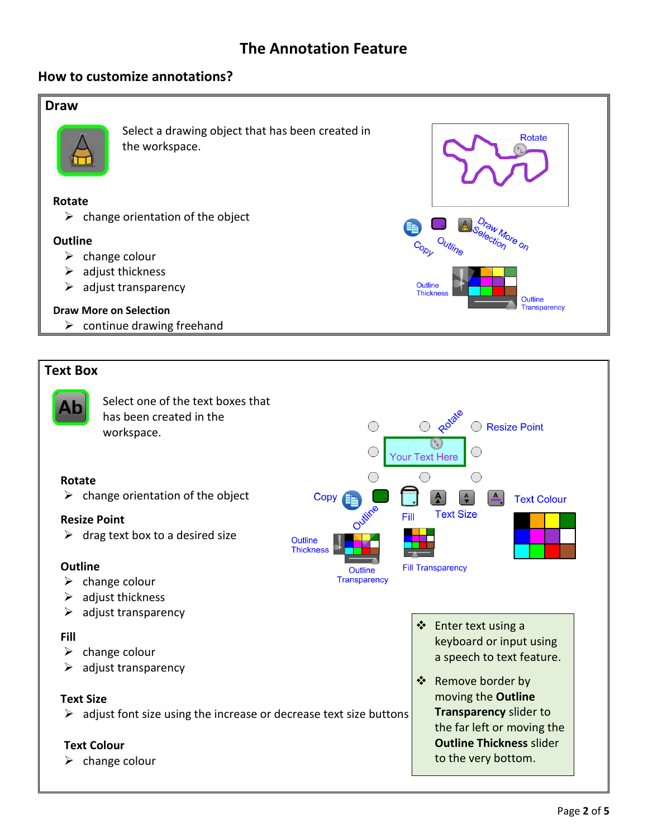# **The Annotation Feature**

#### **How to customize annotations?**

#### **Draw**



Select a drawing object that has been created in the workspace.

#### **Rotate**

 $\triangleright$  change orientation of the object

#### **Outline**

- $\triangleright$  change colour
- $\triangleright$  adjust thickness
- $\triangleright$  adjust transparency

#### **Draw More on Selection**

 $\triangleright$  continue drawing freehand

#### **Text Box**



**Rotate** 

Outline Transparency

raw More on Selection

Outline

Outline **Thickne**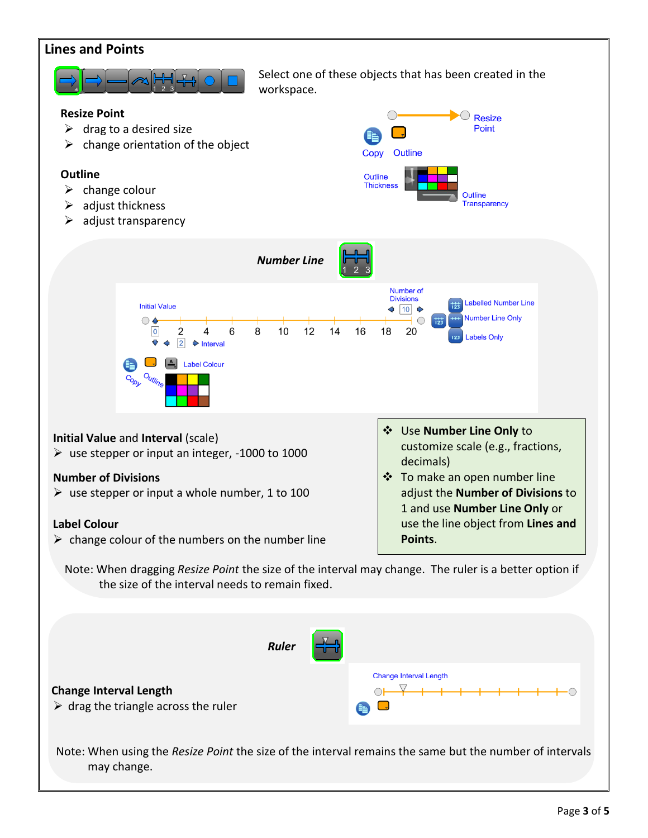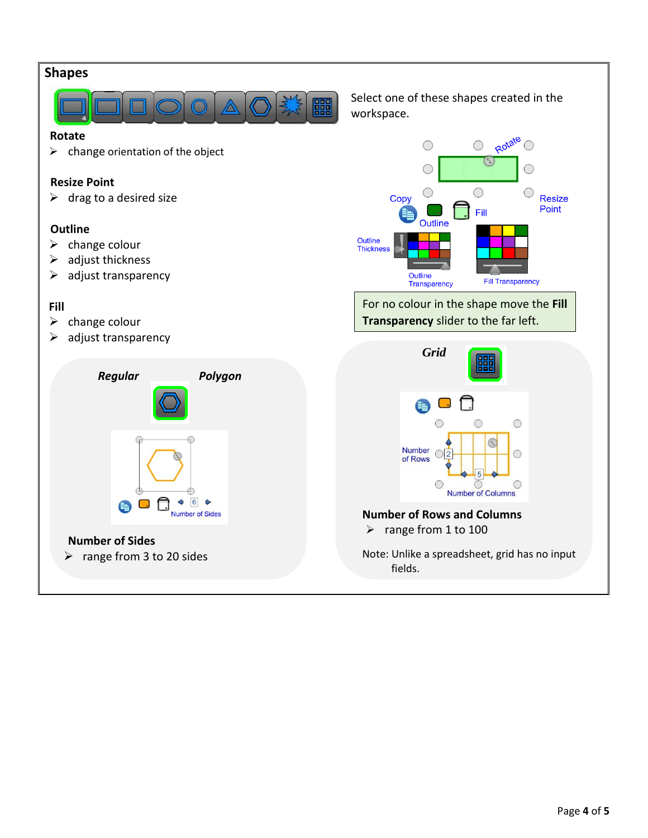